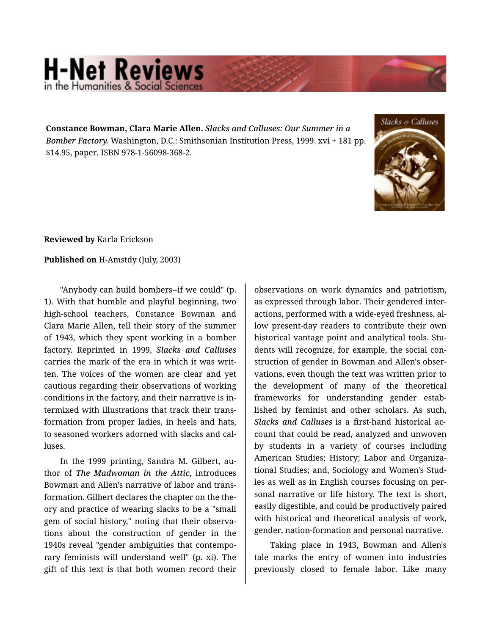## **H-Net Reviews** in the Humanities & Social Scier

**Constance Bowman, Clara Marie Allen.** *Slacks and Calluses: Our Summer in a Bomber Factory.* Washington, D.C.: Smithsonian Institution Press, 1999. xvi + 181 pp. \$14.95, paper, ISBN 978-1-56098-368-2.



**Reviewed by** Karla Erickson

## **Published on** H-Amstdy (July, 2003)

"Anybody can build bombers--if we could" (p. 1). With that humble and playful beginning, two high-school teachers, Constance Bowman and Clara Marie Allen, tell their story of the summer of 1943, which they spent working in a bomber factory. Reprinted in 1999, *Slacks and Calluses* carries the mark of the era in which it was writ‐ ten. The voices of the women are clear and yet cautious regarding their observations of working conditions in the factory, and their narrative is in‐ termixed with illustrations that track their trans‐ formation from proper ladies, in heels and hats, to seasoned workers adorned with slacks and cal‐ luses.

In the 1999 printing, Sandra M. Gilbert, au‐ thor of *The Madwoman in the Attic*, introduces Bowman and Allen's narrative of labor and trans‐ formation. Gilbert declares the chapter on the the‐ ory and practice of wearing slacks to be a "small gem of social history," noting that their observa‐ tions about the construction of gender in the 1940s reveal "gender ambiguities that contempo‐ rary feminists will understand well" (p. xi). The gift of this text is that both women record their

observations on work dynamics and patriotism, as expressed through labor. Their gendered inter‐ actions, performed with a wide-eyed freshness, al‐ low present-day readers to contribute their own historical vantage point and analytical tools. Stu‐ dents will recognize, for example, the social con‐ struction of gender in Bowman and Allen's obser‐ vations, even though the text was written prior to the development of many of the theoretical frameworks for understanding gender estab‐ lished by feminist and other scholars. As such, *Slacks and Calluses* is a first-hand historical ac‐ count that could be read, analyzed and unwoven by students in a variety of courses including American Studies; History; Labor and Organiza‐ tional Studies; and, Sociology and Women's Stud‐ ies as well as in English courses focusing on per‐ sonal narrative or life history. The text is short, easily digestible, and could be productively paired with historical and theoretical analysis of work, gender, nation-formation and personal narrative.

Taking place in 1943, Bowman and Allen's tale marks the entry of women into industries previously closed to female labor. Like many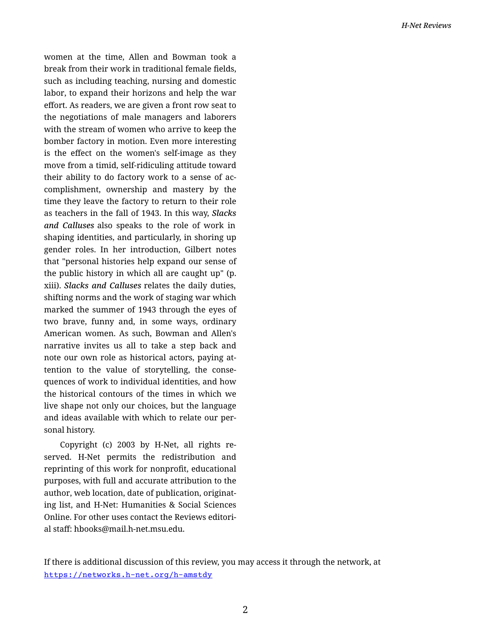women at the time, Allen and Bowman took a break from their work in traditional female fields, such as including teaching, nursing and domestic labor, to expand their horizons and help the war effort. As readers, we are given a front row seat to the negotiations of male managers and laborers with the stream of women who arrive to keep the bomber factory in motion. Even more interesting is the effect on the women's self-image as they move from a timid, self-ridiculing attitude toward their ability to do factory work to a sense of ac‐ complishment, ownership and mastery by the time they leave the factory to return to their role as teachers in the fall of 1943. In this way, *Slacks and Calluses* also speaks to the role of work in shaping identities, and particularly, in shoring up gender roles. In her introduction, Gilbert notes that "personal histories help expand our sense of the public history in which all are caught up" (p. xiii). *Slacks and Calluses* relates the daily duties, shifting norms and the work of staging war which marked the summer of 1943 through the eyes of two brave, funny and, in some ways, ordinary American women. As such, Bowman and Allen's narrative invites us all to take a step back and note our own role as historical actors, paying at‐ tention to the value of storytelling, the conse‐ quences of work to individual identities, and how the historical contours of the times in which we live shape not only our choices, but the language and ideas available with which to relate our per‐ sonal history.

Copyright (c) 2003 by H-Net, all rights re‐ served. H-Net permits the redistribution and reprinting of this work for nonprofit, educational purposes, with full and accurate attribution to the author, web location, date of publication, originat‐ ing list, and H-Net: Humanities & Social Sciences Online. For other uses contact the Reviews editori‐ al staff: hbooks@mail.h-net.msu.edu.

If there is additional discussion of this review, you may access it through the network, at <https://networks.h-net.org/h-amstdy>